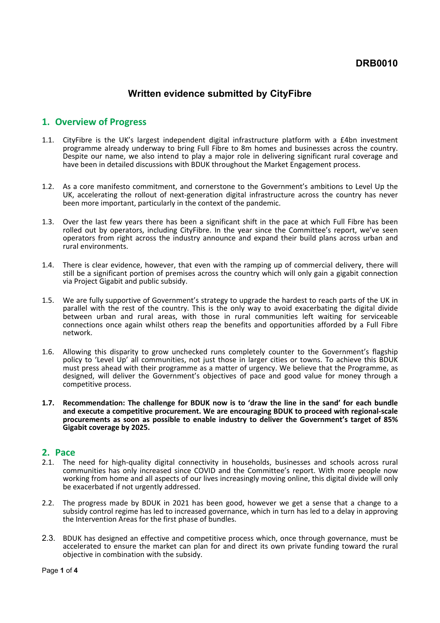## **DRB0010**

# **Written evidence submitted by CityFibre**

### **1. Overview of Progress**

- 1.1. CityFibre is the UK's largest independent digital infrastructure platform with a £4bn investment programme already underway to bring Full Fibre to 8m homes and businesses across the country. Despite our name, we also intend to play a major role in delivering significant rural coverage and have been in detailed discussions with BDUK throughout the Market Engagement process.
- 1.2. As a core manifesto commitment, and cornerstone to the Government's ambitions to Level Up the UK, accelerating the rollout of next-generation digital infrastructure across the country has never been more important, particularly in the context of the pandemic.
- 1.3. Over the last few years there has been a significant shift in the pace at which Full Fibre has been rolled out by operators, including CityFibre. In the year since the Committee's report, we've seen operators from right across the industry announce and expand their build plans across urban and rural environments.
- 1.4. There is clear evidence, however, that even with the ramping up of commercial delivery, there will still be a significant portion of premises across the country which will only gain a gigabit connection via Project Gigabit and public subsidy.
- 1.5. We are fully supportive of Government's strategy to upgrade the hardest to reach parts of the UK in parallel with the rest of the country. This is the only way to avoid exacerbating the digital divide between urban and rural areas, with those in rural communities left waiting for serviceable connections once again whilst others reap the benefits and opportunities afforded by a Full Fibre network.
- 1.6. Allowing this disparity to grow unchecked runs completely counter to the Government's flagship policy to 'Level Up' all communities, not just those in larger cities or towns. To achieve this BDUK must press ahead with their programme as a matter of urgency. We believe that the Programme, as designed, will deliver the Government's objectives of pace and good value for money through a competitive process.
- **1.7. Recommendation: The challenge for BDUK now is to 'draw the line in the sand' for each bundle and execute a competitive procurement. We are encouraging BDUK to proceed with regional-scale procurements as soon as possible to enable industry to deliver the Government's target of 85% Gigabit coverage by 2025.**

#### **2. Pace**

- 2.1. The need for high-quality digital connectivity in households, businesses and schools across rural communities has only increased since COVID and the Committee's report. With more people now working from home and all aspects of our lives increasingly moving online, this digital divide will only be exacerbated if not urgently addressed.
- 2.2. The progress made by BDUK in 2021 has been good, however we get a sense that a change to a subsidy control regime has led to increased governance, which in turn has led to a delay in approving the Intervention Areas for the first phase of bundles.
- 2.3. BDUK has designed an effective and competitive process which, once through governance, must be accelerated to ensure the market can plan for and direct its own private funding toward the rural objective in combination with the subsidy.

Page **1** of **4**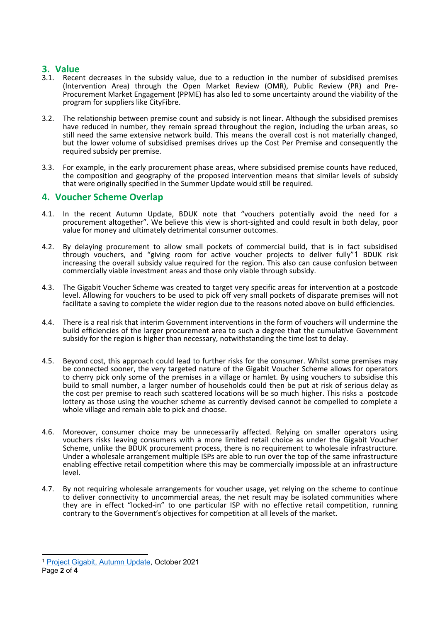### **3. Value**

- 3.1. Recent decreases in the subsidy value, due to a reduction in the number of subsidised premises (Intervention Area) through the Open Market Review (OMR), Public Review (PR) and Pre-Procurement Market Engagement (PPME) has also led to some uncertainty around the viability of the program for suppliers like CityFibre.
- 3.2. The relationship between premise count and subsidy is not linear. Although the subsidised premises have reduced in number, they remain spread throughout the region, including the urban areas, so still need the same extensive network build. This means the overall cost is not materially changed, but the lower volume of subsidised premises drives up the Cost Per Premise and consequently the required subsidy per premise.
- 3.3. For example, in the early procurement phase areas, where subsidised premise counts have reduced, the composition and geography of the proposed intervention means that similar levels of subsidy that were originally specified in the Summer Update would still be required.

## **4. Voucher Scheme Overlap**

- 4.1. In the recent Autumn Update, BDUK note that "vouchers potentially avoid the need for a procurement altogether". We believe this view is short-sighted and could result in both delay, poor value for money and ultimately detrimental consumer outcomes.
- 4.2. By delaying procurement to allow small pockets of commercial build, that is in fact subsidised through vouchers, and "giving room for active voucher projects to deliver fully"1 BDUK risk increasing the overall subsidy value required for the region. This also can cause confusion between commercially viable investment areas and those only viable through subsidy.
- 4.3. The Gigabit Voucher Scheme was created to target very specific areas for intervention at a postcode level. Allowing for vouchers to be used to pick off very small pockets of disparate premises will not facilitate a saving to complete the wider region due to the reasons noted above on build efficiencies.
- 4.4. There is a real risk that interim Government interventions in the form of vouchers will undermine the build efficiencies of the larger procurement area to such a degree that the cumulative Government subsidy for the region is higher than necessary, notwithstanding the time lost to delay.
- 4.5. Beyond cost, this approach could lead to further risks for the consumer. Whilst some premises may be connected sooner, the very targeted nature of the Gigabit Voucher Scheme allows for operators to cherry pick only some of the premises in a village or hamlet. By using vouchers to subsidise this build to small number, a larger number of households could then be put at risk of serious delay as the cost per premise to reach such scattered locations will be so much higher. This risks a postcode lottery as those using the voucher scheme as currently devised cannot be compelled to complete a whole village and remain able to pick and choose.
- 4.6. Moreover, consumer choice may be unnecessarily affected. Relying on smaller operators using vouchers risks leaving consumers with a more limited retail choice as under the Gigabit Voucher Scheme, unlike the BDUK procurement process, there is no requirement to wholesale infrastructure. Under a wholesale arrangement multiple ISPs are able to run over the top of the same infrastructure enabling effective retail competition where this may be commercially impossible at an infrastructure level.
- 4.7. By not requiring wholesale arrangements for voucher usage, yet relying on the scheme to continue to deliver connectivity to uncommercial areas, the net result may be isolated communities where they are in effect "locked-in" to one particular ISP with no effective retail competition, running contrary to the Government's objectives for competition at all levels of the market.

<sup>1</sup> [Project](https://assets.publishing.service.gov.uk/government/uploads/system/uploads/attachment_data/file/1028643/Project_Gigabit__Autumn_Update-complete.pdf) [Gigabit,](https://assets.publishing.service.gov.uk/government/uploads/system/uploads/attachment_data/file/1028643/Project_Gigabit__Autumn_Update-complete.pdf) [Autumn](https://assets.publishing.service.gov.uk/government/uploads/system/uploads/attachment_data/file/1028643/Project_Gigabit__Autumn_Update-complete.pdf) [Update,](https://assets.publishing.service.gov.uk/government/uploads/system/uploads/attachment_data/file/1028643/Project_Gigabit__Autumn_Update-complete.pdf) October 2021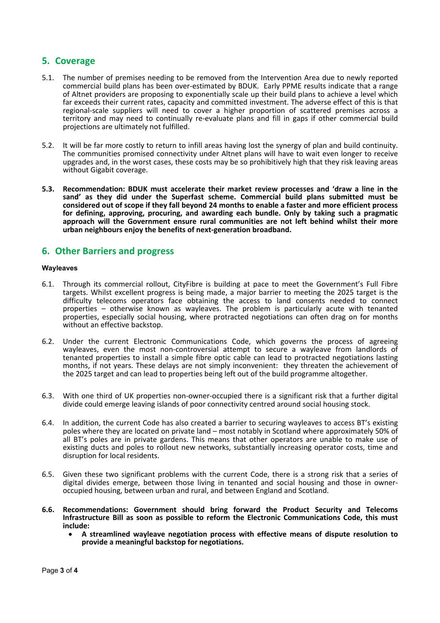## **5. Coverage**

- 5.1. The number of premises needing to be removed from the Intervention Area due to newly reported commercial build plans has been over-estimated by BDUK. Early PPME results indicate that a range of Altnet providers are proposing to exponentially scale up their build plans to achieve a level which far exceeds their current rates, capacity and committed investment. The adverse effect of this is that regional-scale suppliers will need to cover a higher proportion of scattered premises across a territory and may need to continually re-evaluate plans and fill in gaps if other commercial build projections are ultimately not fulfilled.
- 5.2. It will be far more costly to return to infill areas having lost the synergy of plan and build continuity. The communities promised connectivity under Altnet plans will have to wait even longer to receive upgrades and, in the worst cases, these costs may be so prohibitively high that they risk leaving areas without Gigabit coverage.
- **5.3. Recommendation: BDUK must accelerate their market review processes and 'draw a line in the sand' as they did under the Superfast scheme. Commercial build plans submitted must be** considered out of scope if they fall beyond 24 months to enable a faster and more efficient process **for defining, approving, procuring, and awarding each bundle. Only by taking such a pragmatic approach will the Government ensure rural communities are not left behind whilst their more urban neighbours enjoy the benefits of next-generation broadband.**

## **6. Other Barriers and progress**

#### **Wayleaves**

- 6.1. Through its commercial rollout, CityFibre is building at pace to meet the Government's Full Fibre targets. Whilst excellent progress is being made, a major barrier to meeting the 2025 target is the difficulty telecoms operators face obtaining the access to land consents needed to connect properties – otherwise known as wayleaves. The problem is particularly acute with tenanted properties, especially social housing, where protracted negotiations can often drag on for months without an effective backstop.
- 6.2. Under the current Electronic Communications Code, which governs the process of agreeing wayleaves, even the most non-controversial attempt to secure a wayleave from landlords of tenanted properties to install a simple fibre optic cable can lead to protracted negotiations lasting months, if not years. These delays are not simply inconvenient: they threaten the achievement of the 2025 target and can lead to properties being left out of the build programme altogether.
- 6.3. With one third of UK properties non-owner-occupied there is a significant risk that a further digital divide could emerge leaving islands of poor connectivity centred around social housing stock.
- 6.4. In addition, the current Code has also created a barrier to securing wayleaves to access BT's existing poles where they are located on private land – most notably in Scotland where approximately 50% of all BT's poles are in private gardens. This means that other operators are unable to make use of existing ducts and poles to rollout new networks, substantially increasing operator costs, time and disruption for local residents.
- 6.5. Given these two significant problems with the current Code, there is a strong risk that a series of digital divides emerge, between those living in tenanted and social housing and those in owneroccupied housing, between urban and rural, and between England and Scotland.
- **6.6. Recommendations: Government should bring forward the Product Security and Telecoms Infrastructure Bill as soon as possible to reform the Electronic Communications Code, this must include:**
	- **A streamlined wayleave negotiation process with effective means of dispute resolution to provide a meaningful backstop for negotiations.**